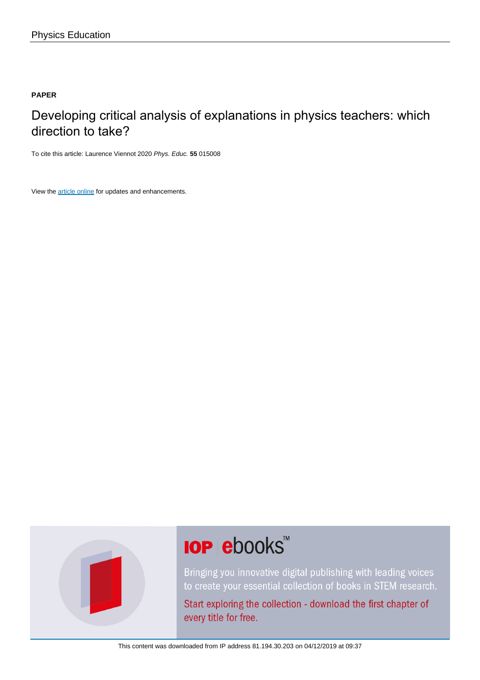# **PAPER**

# Developing critical analysis of explanations in physics teachers: which direction to take?

To cite this article: Laurence Viennot 2020 Phys. Educ. **55** 015008

View the [article online](https://doi.org/10.1088/1361-6552/ab4f64) for updates and enhancements.



# **IOP ebooks™**

Bringing you innovative digital publishing with leading voices to create your essential collection of books in STEM research.

Start exploring the collection - download the first chapter of every title for free.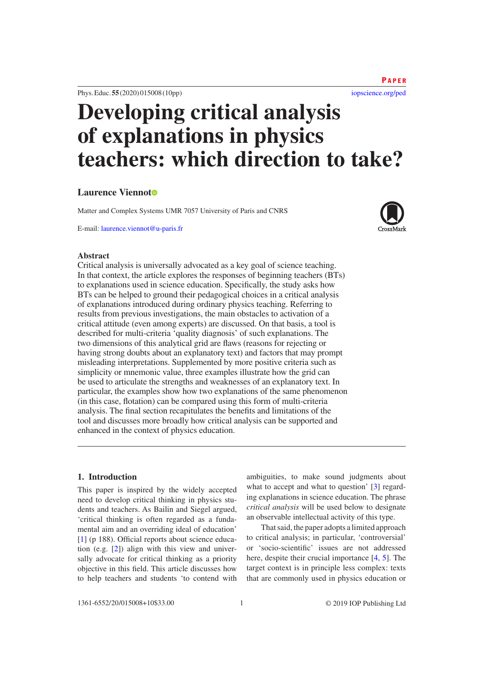Phys. Educ. **55** (2020) 015008 [\(10](#page-10-0)pp)

# **Developing critical analysis of explanations in physics teachers: which direction to take?**

# **Laurence Viennot**

Matter and Complex Systems UMR 7057 University of Paris and CNRS

E-mail: [laurence.viennot@u-paris.fr](mailto:laurence.viennot@u-paris.fr)



Critical analysis is universally advocated as a key goal of science teaching. In that context, the article explores the responses of beginning teachers (BTs) to explanations used in science education. Specifically, the study asks how BTs can be helped to ground their pedagogical choices in a critical analysis of explanations introduced during ordinary physics teaching. Referring to results from previous investigations, the main obstacles to activation of a critical attitude (even among experts) are discussed. On that basis, a tool is described for multi-criteria 'quality diagnosis' of such explanations. The two dimensions of this analytical grid are flaws (reasons for rejecting or having strong doubts about an explanatory text) and factors that may prompt misleading interpretations. Supplemented by more positive criteria such as simplicity or mnemonic value, three examples illustrate how the grid can be used to articulate the strengths and weaknesses of an explanatory text. In particular, the examples show how two explanations of the same phenomenon (in this case, flotation) can be compared using this form of multi-criteria analysis. The final section recapitulates the benefits and limitations of the tool and discusses more broadly how critical analysis can be supported and enhanced in the context of physics education.

### **1. Introduction**

This paper is inspired by the widely accepted need to develop critical thinking in physics students and teachers. As Bailin and Siegel argued, 'critical thinking is often regarded as a fundamental aim and an overriding ideal of education' [\[1](#page-9-0)] (p 188). Official reports about science education (e.g. [\[2](#page-9-1)]) align with this view and universally advocate for critical thinking as a priority objective in this field. This article discusses how to help teachers and students 'to contend with ambiguities, to make sound judgments about what to accept and what to question' [\[3](#page-9-2)] regarding explanations in science education. The phrase *critical analysis* will be used below to designate an observable intellectual activity of this type.

That said, the paper adopts a limited approach to critical analysis; in particular, 'controversial' or 'socio-scientific' issues are not addressed here, despite their crucial importance [[4,](#page-9-3) [5](#page-9-4)]. The target context is in principle less complex: texts that are commonly used in physics education or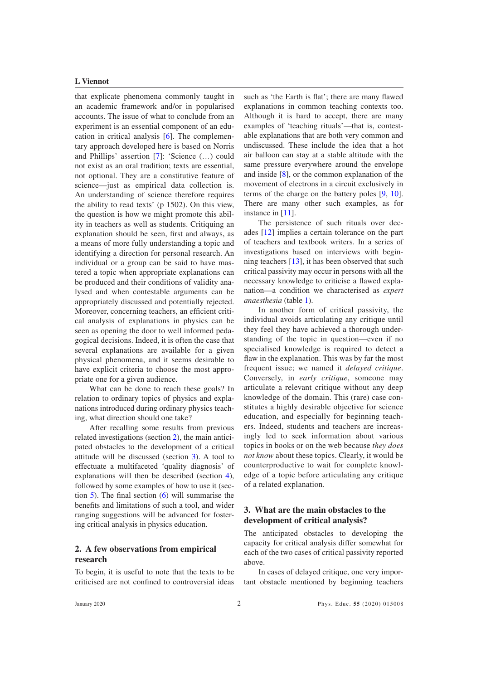that explicate phenomena commonly taught in an academic framework and/or in popularised accounts. The issue of what to conclude from an experiment is an essential component of an education in critical analysis [\[6](#page-9-5)]. The complementary approach developed here is based on Norris and Phillips' assertion [[7\]](#page-9-6): 'Science (…) could not exist as an oral tradition; texts are essential, not optional. They are a constitutive feature of science—just as empirical data collection is. An understanding of science therefore requires the ability to read texts' (p 1502). On this view, the question is how we might promote this ability in teachers as well as students. Critiquing an explanation should be seen, first and always, as a means of more fully understanding a topic and identifying a direction for personal research. An individual or a group can be said to have mastered a topic when appropriate explanations can be produced and their conditions of validity analysed and when contestable arguments can be appropriately discussed and potentially rejected. Moreover, concerning teachers, an efficient critical analysis of explanations in physics can be seen as opening the door to well informed pedagogical decisions. Indeed, it is often the case that several explanations are available for a given physical phenomena, and it seems desirable to have explicit criteria to choose the most appropriate one for a given audience.

What can be done to reach these goals? In relation to ordinary topics of physics and explanations introduced during ordinary physics teaching, what direction should one take?

After recalling some results from previous related investigations (section [2\)](#page-2-0), the main anticipated obstacles to the development of a critical attitude will be discussed (section [3](#page-2-1)). A tool to effectuate a multifaceted 'quality diagnosis' of explanations will then be described (section [4](#page-3-0)), followed by some examples of how to use it (section  $5$ ). The final section  $(6)$  $(6)$  will summarise the benefits and limitations of such a tool, and wider ranging suggestions will be advanced for fostering critical analysis in physics education.

# <span id="page-2-0"></span>**2. A few observations from empirical research**

To begin, it is useful to note that the texts to be criticised are not confined to controversial ideas such as 'the Earth is flat'; there are many flawed explanations in common teaching contexts too. Although it is hard to accept, there are many examples of 'teaching rituals'—that is, contestable explanations that are both very common and undiscussed. These include the idea that a hot air balloon can stay at a stable altitude with the same pressure everywhere around the envelope and inside [\[8](#page-9-7)], or the common explanation of the movement of electrons in a circuit exclusively in terms of the charge on the battery poles [[9,](#page-9-8) [10](#page-9-9)]. There are many other such examples, as for instance in [[11\]](#page-9-10).

The persistence of such rituals over decades [\[12](#page-9-11)] implies a certain tolerance on the part of teachers and textbook writers. In a series of investigations based on interviews with beginning teachers [[13\]](#page-9-12), it has been observed that such critical passivity may occur in persons with all the necessary knowledge to criticise a flawed explanation—a condition we characterised as *expert anaesthesia* (table [1\)](#page-3-1).

In another form of critical passivity, the individual avoids articulating any critique until they feel they have achieved a thorough understanding of the topic in question—even if no specialised knowledge is required to detect a flaw in the explanation. This was by far the most frequent issue; we named it *delayed critique*. Conversely, in *early critique*, someone may articulate a relevant critique without any deep knowledge of the domain. This (rare) case constitutes a highly desirable objective for science education, and especially for beginning teachers. Indeed, students and teachers are increasingly led to seek information about various topics in books or on the web because *they does not know* about these topics. Clearly, it would be counterproductive to wait for complete knowledge of a topic before articulating any critique of a related explanation.

# <span id="page-2-1"></span>**3. What are the main obstacles to the development of critical analysis?**

The anticipated obstacles to developing the capacity for critical analysis differ somewhat for each of the two cases of critical passivity reported above.

In cases of delayed critique, one very important obstacle mentioned by beginning teachers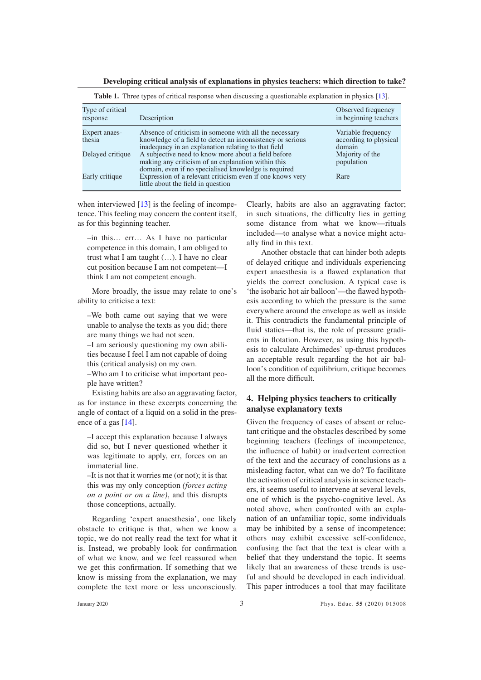| <b>Table 1.</b> Three types of critical response when discussing a questionable explanation in physics [13]. |                                                                                                                                                                             |                                                       |  |  |  |
|--------------------------------------------------------------------------------------------------------------|-----------------------------------------------------------------------------------------------------------------------------------------------------------------------------|-------------------------------------------------------|--|--|--|
| Type of critical<br>response                                                                                 | Description                                                                                                                                                                 | Observed frequency<br>in beginning teachers           |  |  |  |
| Expert anaes-<br>thesia                                                                                      | Absence of criticism in someone with all the necessary<br>knowledge of a field to detect an inconsistency or serious<br>inadequacy in an explanation relating to that field | Variable frequency<br>according to physical<br>domain |  |  |  |
| Delayed critique                                                                                             | A subjective need to know more about a field before<br>making any criticism of an explanation within this<br>domain, even if no specialised knowledge is required           | Majority of the<br>population                         |  |  |  |
| Early critique                                                                                               | Expression of a relevant criticism even if one knows very<br>little about the field in question                                                                             | Rare                                                  |  |  |  |

**Table 1.** Three types of critical response when discussing a questionable explanation in physics [[13\]](#page-9-12).

<span id="page-3-1"></span>**Developing critical analysis of explanations in physics teachers: which direction to take?**

when interviewed  $[13]$  $[13]$  is the feeling of incompetence. This feeling may concern the content itself, as for this beginning teacher.

–in this… err… As I have no particular competence in this domain, I am obliged to trust what I am taught (…). I have no clear cut position because I am not competent—I think I am not competent enough.

More broadly, the issue may relate to one's ability to criticise a text:

–We both came out saying that we were unable to analyse the texts as you did; there are many things we had not seen.

–I am seriously questioning my own abilities because I feel I am not capable of doing this (critical analysis) on my own.

–Who am I to criticise what important people have written?

Existing habits are also an aggravating factor, as for instance in these excerpts concerning the angle of contact of a liquid on a solid in the presence of a gas [[14\]](#page-10-1).

–I accept this explanation because I always did so, but I never questioned whether it was legitimate to apply, err, forces on an immaterial line.

–It is not that it worries me (or not); it is that this was my only conception *(forces acting on a point or on a line)*, and this disrupts those conceptions, actually.

Regarding 'expert anaesthesia', one likely obstacle to critique is that, when we know a topic, we do not really read the text for what it is. Instead, we probably look for confirmation of what we know, and we feel reassured when we get this confirmation. If something that we know is missing from the explanation, we may complete the text more or less unconsciously. Clearly, habits are also an aggravating factor; in such situations, the difficulty lies in getting some distance from what we know—rituals included—to analyse what a novice might actually find in this text.

Another obstacle that can hinder both adepts of delayed critique and individuals experiencing expert anaesthesia is a flawed explanation that yields the correct conclusion. A typical case is 'the isobaric hot air balloon'—the flawed hypothesis according to which the pressure is the same everywhere around the envelope as well as inside it. This contradicts the fundamental principle of fluid statics—that is, the role of pressure gradients in flotation. However, as using this hypothesis to calculate Archimedes' up-thrust produces an acceptable result regarding the hot air balloon's condition of equilibrium, critique becomes all the more difficult.

# <span id="page-3-0"></span>**4. Helping physics teachers to critically analyse explanatory texts**

Given the frequency of cases of absent or reluctant critique and the obstacles described by some beginning teachers (feelings of incompetence, the influence of habit) or inadvertent correction of the text and the accuracy of conclusions as a misleading factor, what can we do? To facilitate the activation of critical analysis in science teachers, it seems useful to intervene at several levels, one of which is the psycho-cognitive level. As noted above, when confronted with an explanation of an unfamiliar topic, some individuals may be inhibited by a sense of incompetence; others may exhibit excessive self-confidence, confusing the fact that the text is clear with a belief that they understand the topic. It seems likely that an awareness of these trends is useful and should be developed in each individual. This paper introduces a tool that may facilitate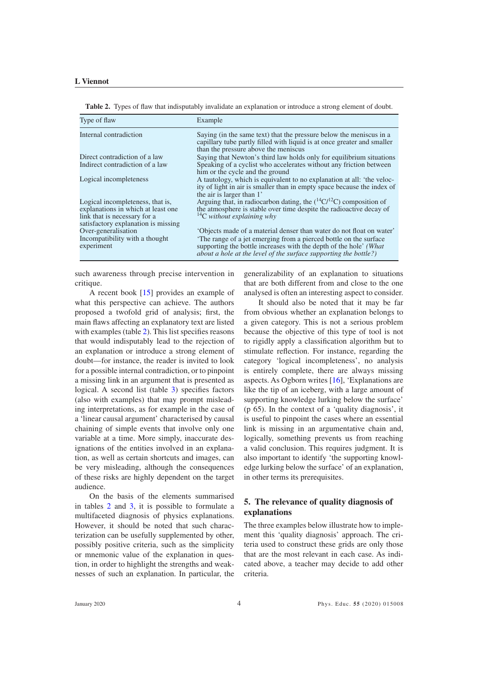<span id="page-4-1"></span>**Table 2.** Types of flaw that indisputably invalidate an explanation or introduce a strong element of doubt.

| Type of flaw                                                                                              | Example                                                                                                                                                                                                   |
|-----------------------------------------------------------------------------------------------------------|-----------------------------------------------------------------------------------------------------------------------------------------------------------------------------------------------------------|
| Internal contradiction                                                                                    | Saying (in the same text) that the pressure below the meniscus in a<br>capillary tube partly filled with liquid is at once greater and smaller<br>than the pressure above the meniscus                    |
| Direct contradiction of a law                                                                             | Saying that Newton's third law holds only for equilibrium situations                                                                                                                                      |
| Indirect contradiction of a law                                                                           | Speaking of a cyclist who accelerates without any friction between<br>him or the cycle and the ground                                                                                                     |
| Logical incompleteness                                                                                    | A tautology, which is equivalent to no explanation at all: 'the veloc-<br>ity of light in air is smaller than in empty space because the index of<br>the air is larger than 1'                            |
| Logical incompleteness, that is,                                                                          | Arguing that, in radiocarbon dating, the $(^{14}C/^{12}C)$ composition of                                                                                                                                 |
| explanations in which at least one<br>link that is necessary for a<br>satisfactory explanation is missing | the atmosphere is stable over time despite the radioactive decay of<br><sup>14</sup> C without explaining why                                                                                             |
| Over-generalisation                                                                                       | 'Objects made of a material denser than water do not float on water'                                                                                                                                      |
| Incompatibility with a thought<br>experiment                                                              | The range of a jet emerging from a pierced bottle on the surface<br>supporting the bottle increases with the depth of the hole' (What<br>about a hole at the level of the surface supporting the bottle?) |

such awareness through precise intervention in critique.

A recent book [\[15](#page-10-2)] provides an example of what this perspective can achieve. The authors proposed a twofold grid of analysis; first, the main flaws affecting an explanatory text are listed with examples (table [2\)](#page-4-1). This list specifies reasons that would indisputably lead to the rejection of an explanation or introduce a strong element of doubt—for instance, the reader is invited to look for a possible internal contradiction, or to pinpoint a missing link in an argument that is presented as logical. A second list (table [3](#page-5-0)) specifies factors (also with examples) that may prompt misleading interpretations, as for example in the case of a 'linear causal argument' characterised by causal chaining of simple events that involve only one variable at a time. More simply, inaccurate designations of the entities involved in an explanation, as well as certain shortcuts and images, can be very misleading, although the consequences of these risks are highly dependent on the target audience.

On the basis of the elements summarised in tables  $2$  and  $3$ , it is possible to formulate a multifaceted diagnosis of physics explanations. However, it should be noted that such characterization can be usefully supplemented by other, possibly positive criteria, such as the simplicity or mnemonic value of the explanation in question, in order to highlight the strengths and weaknesses of such an explanation. In particular, the

generalizability of an explanation to situations that are both different from and close to the one analysed is often an interesting aspect to consider.

It should also be noted that it may be far from obvious whether an explanation belongs to a given category. This is not a serious problem because the objective of this type of tool is not to rigidly apply a classification algorithm but to stimulate reflection. For instance, regarding the category 'logical incompleteness', no analysis is entirely complete, there are always missing aspects. As Ogborn writes [\[16](#page-10-3)], 'Explanations are like the tip of an iceberg, with a large amount of supporting knowledge lurking below the surface' (p 65). In the context of a 'quality diagnosis', it is useful to pinpoint the cases where an essential link is missing in an argumentative chain and, logically, something prevents us from reaching a valid conclusion. This requires judgment. It is also important to identify 'the supporting knowledge lurking below the surface' of an explanation, in other terms its prerequisites.

# <span id="page-4-0"></span>**5. The relevance of quality diagnosis of explanations**

The three examples below illustrate how to implement this 'quality diagnosis' approach. The criteria used to construct these grids are only those that are the most relevant in each case. As indicated above, a teacher may decide to add other criteria.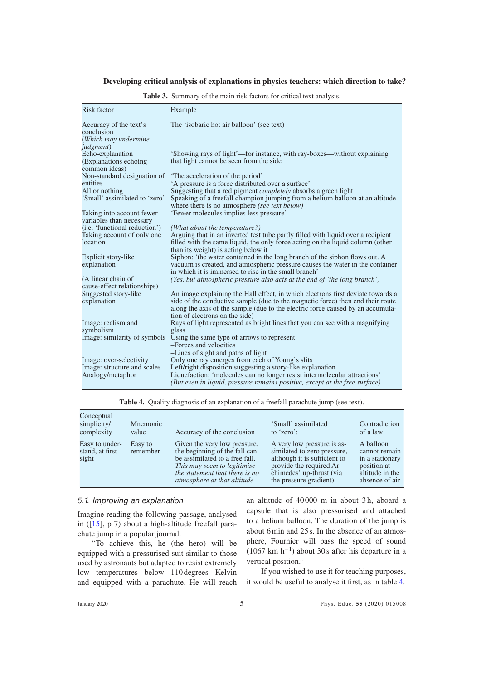|                                        | Table 3. Summary of the main risk factors for critical text analysis.                                             |
|----------------------------------------|-------------------------------------------------------------------------------------------------------------------|
| Risk factor                            | Example                                                                                                           |
| Accuracy of the text's                 | The 'isobaric hot air balloon' (see text)                                                                         |
| conclusion                             |                                                                                                                   |
| (Which may undermine                   |                                                                                                                   |
| <i>judgment</i> )                      |                                                                                                                   |
| Echo-explanation                       | 'Showing rays of light'—for instance, with ray-boxes—without explaining                                           |
| (Explanations echoing)                 | that light cannot be seen from the side.                                                                          |
| common ideas)                          |                                                                                                                   |
| Non-standard designation of            | The acceleration of the period'                                                                                   |
| entities                               | 'A pressure is a force distributed over a surface'                                                                |
| All or nothing                         | Suggesting that a red pigment <i>completely</i> absorbs a green light                                             |
| 'Small' assimilated to 'zero'          | Speaking of a freefall champion jumping from a helium balloon at an altitude                                      |
|                                        | where there is no atmosphere <i>(see text below)</i>                                                              |
| Taking into account fewer              | 'Fewer molecules implies less pressure'                                                                           |
| variables than necessary               |                                                                                                                   |
| (i.e. 'functional reduction')          | (What about the temperature?)                                                                                     |
| Taking account of only one<br>location | Arguing that in an inverted test tube partly filled with liquid over a recipient                                  |
|                                        | filled with the same liquid, the only force acting on the liquid column (other                                    |
| Explicit story-like                    | than its weight) is acting below it<br>Siphon: 'the water contained in the long branch of the siphon flows out. A |
| explanation                            | vacuum is created, and atmospheric pressure causes the water in the container                                     |
|                                        | in which it is immersed to rise in the small branch'                                                              |
| (A linear chain of                     | (Yes, but atmospheric pressure also acts at the end of 'the long branch')                                         |
| cause-effect relationships)            |                                                                                                                   |
| Suggested story-like                   | An image explaining the Hall effect, in which electrons first deviate towards a                                   |
| explanation                            | side of the conductive sample (due to the magnetic force) then end their route                                    |
|                                        | along the axis of the sample (due to the electric force caused by an accumula-                                    |
|                                        | tion of electrons on the side)                                                                                    |
| Image: realism and                     | Rays of light represented as bright lines that you can see with a magnifying                                      |
| symbolism                              | glass                                                                                                             |
| Image: similarity of symbols           | Using the same type of arrows to represent:                                                                       |
|                                        | -Forces and velocities                                                                                            |
|                                        | -Lines of sight and paths of light                                                                                |
| Image: over-selectivity                | Only one ray emerges from each of Young's slits                                                                   |
| Image: structure and scales            | Left/right disposition suggesting a story-like explanation                                                        |
| Analogy/metaphor                       | Liquefaction: 'molecules can no longer resist intermolecular attractions'                                         |
|                                        | (But even in liquid, pressure remains positive, except at the free surface)                                       |

<span id="page-5-0"></span>**Developing critical analysis of explanations in physics teachers: which direction to take?**

<span id="page-5-1"></span>

| <b>Table 4.</b> Quality diagnosis of an explanation of a freefall parachute jump (see text). |
|----------------------------------------------------------------------------------------------|
|----------------------------------------------------------------------------------------------|

| Conceptual<br>simplicity/<br>complexity    | Mnemonic<br>value   | Accuracy of the conclusion                                                                                                                                                                      | 'Small' assimilated<br>to 'zero':                                                                                                                                           | Contradiction<br>of a law                                                                         |
|--------------------------------------------|---------------------|-------------------------------------------------------------------------------------------------------------------------------------------------------------------------------------------------|-----------------------------------------------------------------------------------------------------------------------------------------------------------------------------|---------------------------------------------------------------------------------------------------|
| Easy to under-<br>stand, at first<br>sight | Easy to<br>remember | Given the very low pressure,<br>the beginning of the fall can<br>be assimilated to a free fall.<br>This may seem to legitimise<br>the statement that there is no<br>atmosphere at that altitude | A very low pressure is as-<br>similated to zero pressure,<br>although it is sufficient to<br>provide the required Ar-<br>chimedes' up-thrust (via<br>the pressure gradient) | A balloon<br>cannot remain<br>in a stationary<br>position at<br>altitude in the<br>absence of air |

#### *5.1. Improving an explanation*

Imagine reading the following passage, analysed in ([[15\]](#page-10-2), p 7) about a high-altitude freefall parachute jump in a popular journal.

"To achieve this, he (the hero) will be equipped with a pressurised suit similar to those used by astronauts but adapted to resist extremely low temperatures below 110 degrees Kelvin and equipped with a parachute. He will reach

an altitude of 40000 m in about 3h, aboard a capsule that is also pressurised and attached to a helium balloon. The duration of the jump is about 6min and 25s. In the absence of an atmosphere, Fournier will pass the speed of sound (1067 km h<sup>−</sup><sup>1</sup> ) about 30 s after his departure in a vertical position."

If you wished to use it for teaching purposes, it would be useful to analyse it first, as in table [4](#page-5-1).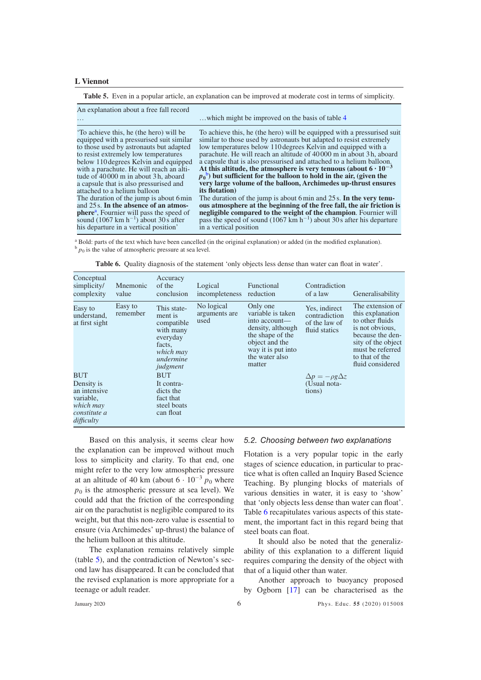<span id="page-6-0"></span>**Table 5.** Even in a popular article, an explanation can be improved at moderate cost in terms of simplicity.

| An explanation about a free fall record                                                                                                                                                                                                                                                                                                                                                                                                                                                                                                                                                                                       |                                                                                                                                                                                                                                                                                                                                                                                                                                                                                                                                                                                                                                                                                                                                                                                                                                                                                                                                                             |
|-------------------------------------------------------------------------------------------------------------------------------------------------------------------------------------------------------------------------------------------------------------------------------------------------------------------------------------------------------------------------------------------------------------------------------------------------------------------------------------------------------------------------------------------------------------------------------------------------------------------------------|-------------------------------------------------------------------------------------------------------------------------------------------------------------------------------------------------------------------------------------------------------------------------------------------------------------------------------------------------------------------------------------------------------------------------------------------------------------------------------------------------------------------------------------------------------------------------------------------------------------------------------------------------------------------------------------------------------------------------------------------------------------------------------------------------------------------------------------------------------------------------------------------------------------------------------------------------------------|
| $\cdots$                                                                                                                                                                                                                                                                                                                                                                                                                                                                                                                                                                                                                      | which might be improved on the basis of table 4                                                                                                                                                                                                                                                                                                                                                                                                                                                                                                                                                                                                                                                                                                                                                                                                                                                                                                             |
| To achieve this, he (the hero) will be<br>equipped with a pressurised suit similar<br>to those used by astronauts but adapted<br>to resist extremely low temperatures<br>below 110 degrees Kelvin and equipped<br>with a parachute. He will reach an alti-<br>tude of 40000 m in about 3 h, aboard<br>a capsule that is also pressurised and<br>attached to a helium balloon<br>The duration of the jump is about 6 min<br>and 25 s. In the absence of an atmos-<br><b>phere</b> <sup>a</sup> , Fournier will pass the speed of<br>sound $(1067 \text{ km h}^{-1})$ about 30 s after<br>his departure in a vertical position' | To achieve this, he (the hero) will be equipped with a pressurised suit<br>similar to those used by astronauts but adapted to resist extremely<br>low temperatures below 110 degrees Kelvin and equipped with a<br>parachute. He will reach an altitude of 40000 m in about 3h, aboard<br>a capsule that is also pressurised and attached to a helium balloon.<br>At this altitude, the atmosphere is very tenuous (about $6 \cdot 10^{-3}$<br>$p_0$ <sup>b</sup> ) but sufficient for the balloon to hold in the air, (given the<br>very large volume of the balloon, Archimedes up-thrust ensures<br><i>its flotation</i> )<br>The duration of the jump is about 6 min and $25 s$ . In the very tenu-<br>ous atmosphere at the beginning of the free fall, the air friction is<br>negligible compared to the weight of the champion. Fournier will<br>pass the speed of sound (1067 km $h^{-1}$ ) about 30s after his departure<br>in a vertical position |

<span id="page-6-3"></span><span id="page-6-2"></span><sup>a</sup> Bold: parts of the text which have been cancelled (in the original explanation) or added (in the modified explanation).  $\frac{b}{p_0}$  is the value of atmospheric pressure at sea level.

| Conceptual<br>simplicity/<br>complexity  | Mnemonic<br>value   | Accuracy<br>of the<br>conclusion                                                                              | Logical<br>incompleteness           | Functional<br>reduction                                                                                                                                     | Contradiction<br>of a law                                        | Generalisability                                                                                                                                                               |
|------------------------------------------|---------------------|---------------------------------------------------------------------------------------------------------------|-------------------------------------|-------------------------------------------------------------------------------------------------------------------------------------------------------------|------------------------------------------------------------------|--------------------------------------------------------------------------------------------------------------------------------------------------------------------------------|
| Easy to<br>understand,<br>at first sight | Easy to<br>remember | This state-<br>ment is<br>compatible<br>with many<br>everyday<br>facts,<br>which may<br>undermine<br>judgment | No logical<br>arguments are<br>used | Only one<br>variable is taken<br>into account—<br>density, although<br>the shape of the<br>object and the<br>way it is put into<br>the water also<br>matter | Yes, indirect<br>contradiction<br>of the law of<br>fluid statics | The extension of<br>this explanation<br>to other fluids<br>is not obvious,<br>because the den-<br>sity of the object<br>must be referred<br>to that of the<br>fluid considered |
| BUT                                      |                     | <b>BUT</b>                                                                                                    |                                     |                                                                                                                                                             | $\Delta p = -\rho g \Delta z$                                    |                                                                                                                                                                                |
| Density is                               |                     | It contra-                                                                                                    |                                     |                                                                                                                                                             | (Usual nota-                                                     |                                                                                                                                                                                |
| an intensive                             |                     | dicts the                                                                                                     |                                     |                                                                                                                                                             | tions)                                                           |                                                                                                                                                                                |
| variable,                                |                     | fact that                                                                                                     |                                     |                                                                                                                                                             |                                                                  |                                                                                                                                                                                |
| which may<br>constitute a                |                     | steel boats<br>can float                                                                                      |                                     |                                                                                                                                                             |                                                                  |                                                                                                                                                                                |
| difficulty                               |                     |                                                                                                               |                                     |                                                                                                                                                             |                                                                  |                                                                                                                                                                                |

<span id="page-6-1"></span>**Table 6.** Quality diagnosis of the statement 'only objects less dense than water can float in water'.

Based on this analysis, it seems clear how the explanation can be improved without much loss to simplicity and clarity. To that end, one might refer to the very low atmospheric pressure at an altitude of 40 km (about  $6 \cdot 10^{-3} p_0$  where  $p_0$  is the atmospheric pressure at sea level). We could add that the friction of the corresponding air on the parachutist is negligible compared to its weight, but that this non-zero value is essential to ensure (via Archimedes' up-thrust) the balance of the helium balloon at this altitude.

The explanation remains relatively simple (table [5](#page-6-0)), and the contradiction of Newton's second law has disappeared. It can be concluded that the revised explanation is more appropriate for a teenage or adult reader.

#### *5.2. Choosing between two explanations*

Flotation is a very popular topic in the early stages of science education, in particular to practice what is often called an Inquiry Based Science Teaching. By plunging blocks of materials of various densities in water, it is easy to 'show' that 'only objects less dense than water can float'. Table [6](#page-6-1) recapitulates various aspects of this statement, the important fact in this regard being that steel boats can float.

It should also be noted that the generalizability of this explanation to a different liquid requires comparing the density of the object with that of a liquid other than water.

Another approach to buoyancy proposed by Ogborn [\[17](#page-10-4)] can be characterised as the

January 2020 6

Phys. Educ. **55** (2020) 015008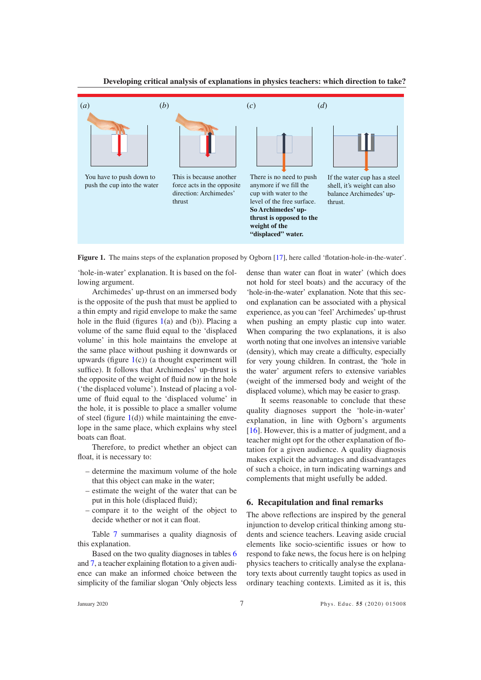<span id="page-7-1"></span>

**Developing critical analysis of explanations in physics teachers: which direction to take?**

**Figure 1.** The mains steps of the explanation proposed by Ogborn [\[17](#page-10-4)], here called 'flotation-hole-in-the-water'.

'hole-in-water' explanation. It is based on the following argument.

Archimedes' up-thrust on an immersed body is the opposite of the push that must be applied to a thin empty and rigid envelope to make the same hole in the fluid (figures  $1(a)$  $1(a)$  and (b)). Placing a volume of the same fluid equal to the 'displaced volume' in this hole maintains the envelope at the same place without pushing it downwards or upwards (figure  $1(c)$  $1(c)$ ) (a thought experiment will suffice). It follows that Archimedes' up-thrust is the opposite of the weight of fluid now in the hole ('the displaced volume'). Instead of placing a volume of fluid equal to the 'displaced volume' in the hole, it is possible to place a smaller volume of steel (figure  $1(d)$  $1(d)$ ) while maintaining the envelope in the same place, which explains why steel boats can float.

Therefore, to predict whether an object can float, it is necessary to:

- determine the maximum volume of the hole that this object can make in the water;
- estimate the weight of the water that can be put in this hole (displaced fluid);
- compare it to the weight of the object to decide whether or not it can float.

Table [7](#page-8-0) summarises a quality diagnosis of this explanation.

Based on the two quality diagnoses in tables [6](#page-6-1) and [7,](#page-8-0) a teacher explaining flotation to a given audience can make an informed choice between the simplicity of the familiar slogan 'Only objects less dense than water can float in water' (which does not hold for steel boats) and the accuracy of the 'hole-in-the-water' explanation. Note that this second explanation can be associated with a physical experience, as you can 'feel' Archimedes' up-thrust when pushing an empty plastic cup into water. When comparing the two explanations, it is also worth noting that one involves an intensive variable (density), which may create a difficulty, especially for very young children. In contrast, the 'hole in the water' argument refers to extensive variables (weight of the immersed body and weight of the displaced volume), which may be easier to grasp.

It seems reasonable to conclude that these quality diagnoses support the 'hole-in-water' explanation, in line with Ogborn's arguments [[16\]](#page-10-3). However, this is a matter of judgment, and a teacher might opt for the other explanation of flotation for a given audience. A quality diagnosis makes explicit the advantages and disadvantages of such a choice, in turn indicating warnings and complements that might usefully be added.

### <span id="page-7-0"></span>**6. Recapitulation and final remarks**

The above reflections are inspired by the general injunction to develop critical thinking among students and science teachers. Leaving aside crucial elements like socio-scientific issues or how to respond to fake news, the focus here is on helping physics teachers to critically analyse the explanatory texts about currently taught topics as used in ordinary teaching contexts. Limited as it is, this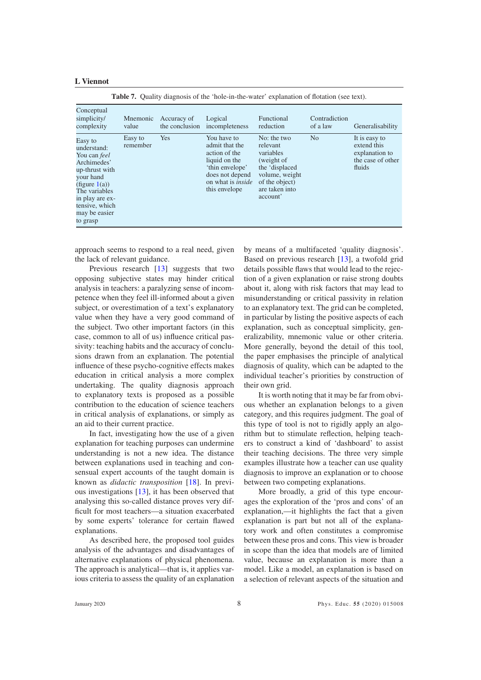|                                                                                                                                                                                                    |                     |                               | <b>Table 1.</b> Quality diagnosis of the note-in-the-water explaination of hotation (see text).                                                     |                                                                                                                                        |                           |                                                                               |
|----------------------------------------------------------------------------------------------------------------------------------------------------------------------------------------------------|---------------------|-------------------------------|-----------------------------------------------------------------------------------------------------------------------------------------------------|----------------------------------------------------------------------------------------------------------------------------------------|---------------------------|-------------------------------------------------------------------------------|
| Conceptual<br>simplicity/<br>complexity                                                                                                                                                            | Mnemonic<br>value   | Accuracy of<br>the conclusion | Logical<br>incompleteness                                                                                                                           | Functional<br>reduction                                                                                                                | Contradiction<br>of a law | Generalisability                                                              |
| Easy to<br>understand:<br>You can <i>feel</i><br>Archimedes'<br>up-thrust with<br>your hand<br>(figure $1(a)$ )<br>The variables<br>in play are ex-<br>tensive, which<br>may be easier<br>to grasp | Easy to<br>remember | Yes                           | You have to<br>admit that the<br>action of the<br>liquid on the<br>'thin envelope'<br>does not depend<br>on what is <i>inside</i><br>this envelope. | No: the two<br>relevant<br>variables<br>(weight of<br>the 'displaced<br>volume, weight<br>of the object)<br>are taken into<br>account' | N <sub>0</sub>            | It is easy to<br>extend this<br>explanation to<br>the case of other<br>fluids |

<span id="page-8-0"></span>**Table 7.** Quality diagnosis of the 'hole-in-the-water' explanation of flotation (see text).

approach seems to respond to a real need, given the lack of relevant guidance.

Previous research [\[13](#page-9-12)] suggests that two opposing subjective states may hinder critical analysis in teachers: a paralyzing sense of incompetence when they feel ill-informed about a given subject, or overestimation of a text's explanatory value when they have a very good command of the subject. Two other important factors (in this case, common to all of us) influence critical passivity: teaching habits and the accuracy of conclusions drawn from an explanation. The potential influence of these psycho-cognitive effects makes education in critical analysis a more complex undertaking. The quality diagnosis approach to explanatory texts is proposed as a possible contribution to the education of science teachers in critical analysis of explanations, or simply as an aid to their current practice.

In fact, investigating how the use of a given explanation for teaching purposes can undermine understanding is not a new idea. The distance between explanations used in teaching and consensual expert accounts of the taught domain is known as *didactic transposition* [[18\]](#page-10-5). In previous investigations [[13\]](#page-9-12), it has been observed that analysing this so-called distance proves very difficult for most teachers—a situation exacerbated by some experts' tolerance for certain flawed explanations.

As described here, the proposed tool guides analysis of the advantages and disadvantages of alternative explanations of physical phenomena. The approach is analytical—that is, it applies various criteria to assess the quality of an explanation

by means of a multifaceted 'quality diagnosis'. Based on previous research [\[13](#page-9-12)], a twofold grid details possible flaws that would lead to the rejection of a given explanation or raise strong doubts about it, along with risk factors that may lead to misunderstanding or critical passivity in relation to an explanatory text. The grid can be completed, in particular by listing the positive aspects of each explanation, such as conceptual simplicity, generalizability, mnemonic value or other criteria. More generally, beyond the detail of this tool, the paper emphasises the principle of analytical diagnosis of quality, which can be adapted to the individual teacher's priorities by construction of their own grid.

It is worth noting that it may be far from obvious whether an explanation belongs to a given category, and this requires judgment. The goal of this type of tool is not to rigidly apply an algorithm but to stimulate reflection, helping teachers to construct a kind of 'dashboard' to assist their teaching decisions. The three very simple examples illustrate how a teacher can use quality diagnosis to improve an explanation or to choose between two competing explanations.

More broadly, a grid of this type encourages the exploration of the 'pros and cons' of an explanation,—it highlights the fact that a given explanation is part but not all of the explanatory work and often constitutes a compromise between these pros and cons. This view is broader in scope than the idea that models are of limited value, because an explanation is more than a model. Like a model, an explanation is based on a selection of relevant aspects of the situation and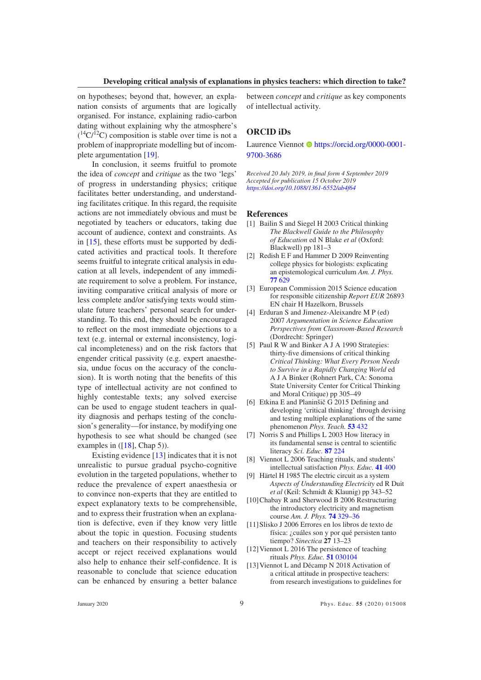on hypotheses; beyond that, however, an explanation consists of arguments that are logically organised. For instance, explaining radio-carbon dating without explaining why the atmosphere's  $(^{14}C/^{12}C)$  composition is stable over time is not a problem of inappropriate modelling but of incomplete argumentation [\[19](#page-10-6)].

In conclusion, it seems fruitful to promote the idea of *concept* and *critique* as the two 'legs' of progress in understanding physics; critique facilitates better understanding, and understanding facilitates critique. In this regard, the requisite actions are not immediately obvious and must be negotiated by teachers or educators, taking due account of audience, context and constraints. As in [\[15](#page-10-2)], these efforts must be supported by dedicated activities and practical tools. It therefore seems fruitful to integrate critical analysis in education at all levels, independent of any immediate requirement to solve a problem. For instance, inviting comparative critical analysis of more or less complete and/or satisfying texts would stimulate future teachers' personal search for understanding. To this end, they should be encouraged to reflect on the most immediate objections to a text (e.g. internal or external inconsistency, logical incompleteness) and on the risk factors that engender critical passivity (e.g. expert anaesthesia, undue focus on the accuracy of the conclusion). It is worth noting that the benefits of this type of intellectual activity are not confined to highly contestable texts; any solved exercise can be used to engage student teachers in quality diagnosis and perhaps testing of the conclusion's generality—for instance, by modifying one hypothesis to see what should be changed (see examples in  $([18],$  $([18],$  $([18],$  Chap 5)).

Existing evidence [[13](#page-9-12)] indicates that it is not unrealistic to pursue gradual psycho-cognitive evolution in the targeted populations, whether to reduce the prevalence of expert anaesthesia or to convince non-experts that they are entitled to expect explanatory texts to be comprehensible, and to express their frustration when an explanation is defective, even if they know very little about the topic in question. Focusing students and teachers on their responsibility to actively accept or reject received explanations would also help to enhance their self-confidence. It is reasonable to conclude that science education can be enhanced by ensuring a better balance between *concept* and *critique* as key components of intellectual activity.

# **ORCID iDs**

Laurence Viennot https://orcid.org/0000-0001-[9700-3686](https://orcid.org/0000-0001-9700-3686)

*Received 20 July 2019, in final form 4 September 2019 Accepted for publication 15 October 2019 <https://doi.org/10.1088/1361-6552/ab4f64>*

### <span id="page-9-0"></span>**References**

- [1] Bailin S and Siegel H 2003 Critical thinking *The Blackwell Guide to the Philosophy of Education* ed N Blake *et al* (Oxford: Blackwell) pp 181–3
- <span id="page-9-1"></span>[2] Redish E F and Hammer D 2009 Reinventing college physics for biologists: explicating an epistemological curriculum *Am. J. Phys.* **[77](https://doi.org/10.1119/1.3119150)** [629](https://doi.org/10.1119/1.3119150)
- <span id="page-9-2"></span>[3] European Commission 2015 Science education for responsible citizenship *Report EUR* 26893 EN chair H Hazelkorn, Brussels
- <span id="page-9-3"></span>[4] Erduran S and Jimenez-Aleixandre M P (ed) 2007 *Argumentation in Science Education Perspectives from Classroom-Based Research* (Dordrecht: Springer)
- <span id="page-9-4"></span>[5] Paul R W and Binker A J A 1990 Strategies: thirty-five dimensions of critical thinking *Critical Thinking: What Every Person Needs to Survive in a Rapidly Changing World* ed A J A Binker (Rohnert Park, CA: Sonoma State University Center for Critical Thinking and Moral Critique) pp 305–49
- <span id="page-9-5"></span>[6] Etkina E and Planinšič G 2015 Defining and developing 'critical thinking' through devising and testing multiple explanations of the same phenomenon *Phys. Teach.* **[53](https://doi.org/10.1119/1.4931014)** [432](https://doi.org/10.1119/1.4931014)
- <span id="page-9-6"></span>[7] Norris S and Phillips L 2003 How literacy in its fundamental sense is central to scientific literacy *Sci. Educ.* **[87](https://doi.org/10.1002/sce.10066)** [224](https://doi.org/10.1002/sce.10066)
- <span id="page-9-7"></span>[8] Viennot L 2006 Teaching rituals, and students' intellectual satisfaction *Phys. Educ.* **[41](https://doi.org/10.1088/0031-9120/41/5/004)** [400](https://doi.org/10.1088/0031-9120/41/5/004)
- <span id="page-9-8"></span>[9] Härtel H 1985 The electric circuit as a system *Aspects of Understanding Electricity* ed R Duit *et al* (Keil: Schmidt & Klaunig) pp 343–52
- <span id="page-9-9"></span>[10]Chabay R and Sherwood B 2006 Restructuring the introductory electricity and magnetism course *Am. J. Phys.* **[74](https://doi.org/10.1119/1.2165249)** [329](https://doi.org/10.1119/1.2165249)–[36](https://doi.org/10.1119/1.2165249)
- <span id="page-9-10"></span>[11]Slisko J 2006 Errores en los libros de texto de física: ¿cuáles son y por qué persisten tanto tiempo? *Sinectica* **27** 13–23
- <span id="page-9-11"></span>[12]Viennot L 2016 The persistence of teaching rituals *Phys. Educ.* **[51](https://doi.org/10.1088/0031-9120/51/3/030104)** [030104](https://doi.org/10.1088/0031-9120/51/3/030104)
- <span id="page-9-12"></span>[13]Viennot L and Décamp N 2018 Activation of a critical attitude in prospective teachers: from research investigations to guidelines for